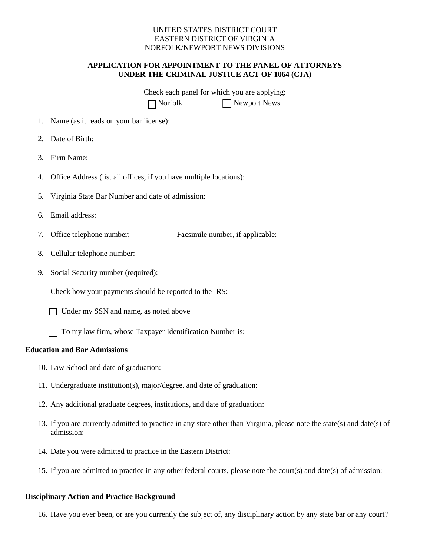## UNITED STATES DISTRICT COURT EASTERN DISTRICT OF VIRGINIA NORFOLK/NEWPORT NEWS DIVISIONS

# **APPLICATION FOR APPOINTMENT TO THE PANEL OF ATTORNEYS UNDER THE CRIMINAL JUSTICE ACT OF 1064 (CJA)**

Check each panel for which you are applying: □ Norfolk □ Newport News

- 1. Name (as it reads on your bar license):
- 2. Date of Birth:
- 3. Firm Name:
- 4. Office Address (list all offices, if you have multiple locations):
- 5. Virginia State Bar Number and date of admission:
- 6. Email address:
- 7. Office telephone number: Facsimile number, if applicable:
- 8. Cellular telephone number:
- 9. Social Security number (required):

Check how your payments should be reported to the IRS:

- □ Under my SSN and name, as noted above
- □ To my law firm, whose Taxpayer Identification Number is:

## **Education and Bar Admissions**

- 10. Law School and date of graduation:
- 11. Undergraduate institution(s), major/degree, and date of graduation:
- 12. Any additional graduate degrees, institutions, and date of graduation:
- 13. If you are currently admitted to practice in any state other than Virginia, please note the state(s) and date(s) of admission:
- 14. Date you were admitted to practice in the Eastern District:
- 15. If you are admitted to practice in any other federal courts, please note the court(s) and date(s) of admission:

#### **Disciplinary Action and Practice Background**

16. Have you ever been, or are you currently the subject of, any disciplinary action by any state bar or any court?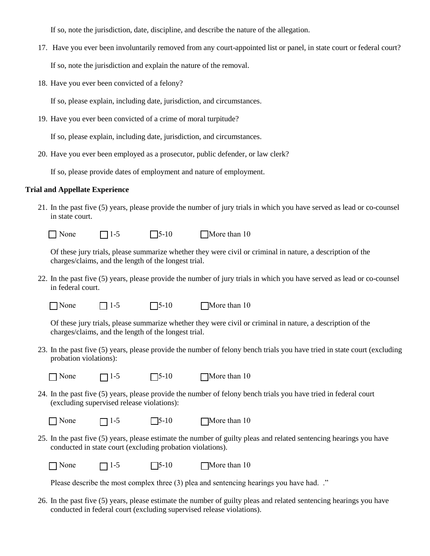If so, note the jurisdiction, date, discipline, and describe the nature of the allegation.

17. Have you ever been involuntarily removed from any court-appointed list or panel, in state court or federal court?

If so, note the jurisdiction and explain the nature of the removal.

18. Have you ever been convicted of a felony?

If so, please explain, including date, jurisdiction, and circumstances.

19. Have you ever been convicted of a crime of moral turpitude?

If so, please explain, including date, jurisdiction, and circumstances.

20. Have you ever been employed as a prosecutor, public defender, or law clerk?

If so, please provide dates of employment and nature of employment.

## **Trial and Appellate Experience**

21. In the past five (5) years, please provide the number of jury trials in which you have served as lead or co-counsel in state court.

 $\Box$  None  $\Box$  1-5  $\Box$  5-10  $\Box$  More than 10

Of these jury trials, please summarize whether they were civil or criminal in nature, a description of the charges/claims, and the length of the longest trial.

22. In the past five (5) years, please provide the number of jury trials in which you have served as lead or co-counsel in federal court.

 $\Box$  None  $\Box$  1-5  $\Box$  5-10  $\Box$  More than 10

Of these jury trials, please summarize whether they were civil or criminal in nature, a description of the charges/claims, and the length of the longest trial.

- 23. In the past five (5) years, please provide the number of felony bench trials you have tried in state court (excluding probation violations):
	-

 $\Box$  None  $\Box$  1-5  $\Box$  5-10  $\Box$  More than 10

24. In the past five (5) years, please provide the number of felony bench trials you have tried in federal court (excluding supervised release violations):

 $\Box$  None  $\Box$  1-5  $\Box$  5-10  $\Box$  More than 10

25. In the past five (5) years, please estimate the number of guilty pleas and related sentencing hearings you have conducted in state court (excluding probation violations).

 $\Box$  None  $\Box$  1-5  $\Box$  5-10  $\Box$  More than 10

Please describe the most complex three (3) plea and sentencing hearings you have had. ."

26. In the past five (5) years, please estimate the number of guilty pleas and related sentencing hearings you have conducted in federal court (excluding supervised release violations).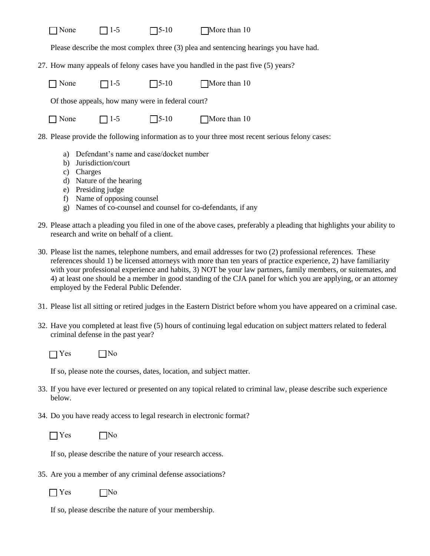| $\neg$ None | $\Box$ 1-5 | $\Box$ 5-10 | $\square$ More than 10 |
|-------------|------------|-------------|------------------------|
|-------------|------------|-------------|------------------------|

Please describe the most complex three (3) plea and sentencing hearings you have had.

27. How many appeals of felony cases have you handled in the past five (5) years?

 $\Box$  None  $\Box$  1-5  $\Box$  5-10  $\Box$  More than 10

Of those appeals, how many were in federal court?

| None |
|------|
|      |

 $\Box$  None  $\Box$  1-5  $\Box$  5-10  $\Box$  More than 10

28. Please provide the following information as to your three most recent serious felony cases:

- a) Defendant's name and case/docket number
- b) Jurisdiction/court
- c) Charges
- d) Nature of the hearing
- e) Presiding judge
- f) Name of opposing counsel
- g) Names of co-counsel and counsel for co-defendants, if any
- 29. Please attach a pleading you filed in one of the above cases, preferably a pleading that highlights your ability to research and write on behalf of a client.
- 30. Please list the names, telephone numbers, and email addresses for two (2) professional references. These references should 1) be licensed attorneys with more than ten years of practice experience, 2) have familiarity with your professional experience and habits, 3) NOT be your law partners, family members, or suitemates, and 4) at least one should be a member in good standing of the CJA panel for which you are applying, or an attorney employed by the Federal Public Defender.
- 31. Please list all sitting or retired judges in the Eastern District before whom you have appeared on a criminal case.
- 32. Have you completed at least five (5) hours of continuing legal education on subject matters related to federal criminal defense in the past year?

|  | N٥ |
|--|----|
|--|----|

If so, please note the courses, dates, location, and subject matter.

- 33. If you have ever lectured or presented on any topical related to criminal law, please describe such experience below.
- 34. Do you have ready access to legal research in electronic format?

 $\Box$  Yes  $\Box$  No

If so, please describe the nature of your research access.

35. Are you a member of any criminal defense associations?

 $\Box$ No

If so, please describe the nature of your membership.